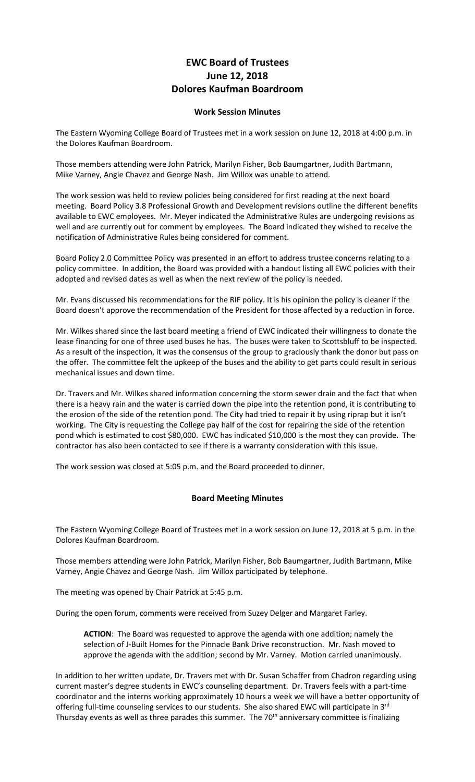## **EWC Board of Trustees June 12, 2018 Dolores Kaufman Boardroom**

## **Work Session Minutes**

The Eastern Wyoming College Board of Trustees met in a work session on June 12, 2018 at 4:00 p.m. in the Dolores Kaufman Boardroom.

Those members attending were John Patrick, Marilyn Fisher, Bob Baumgartner, Judith Bartmann, Mike Varney, Angie Chavez and George Nash. Jim Willox was unable to attend.

The work session was held to review policies being considered for first reading at the next board meeting. Board Policy 3.8 Professional Growth and Development revisions outline the different benefits available to EWC employees. Mr. Meyer indicated the Administrative Rules are undergoing revisions as well and are currently out for comment by employees. The Board indicated they wished to receive the notification of Administrative Rules being considered for comment.

Board Policy 2.0 Committee Policy was presented in an effort to address trustee concerns relating to a policy committee. In addition, the Board was provided with a handout listing all EWC policies with their adopted and revised dates as well as when the next review of the policy is needed.

Mr. Evans discussed his recommendations for the RIF policy. It is his opinion the policy is cleaner if the Board doesn't approve the recommendation of the President for those affected by a reduction in force.

Mr. Wilkes shared since the last board meeting a friend of EWC indicated their willingness to donate the lease financing for one of three used buses he has. The buses were taken to Scottsbluff to be inspected. As a result of the inspection, it was the consensus of the group to graciously thank the donor but pass on the offer. The committee felt the upkeep of the buses and the ability to get parts could result in serious mechanical issues and down time.

Dr. Travers and Mr. Wilkes shared information concerning the storm sewer drain and the fact that when there is a heavy rain and the water is carried down the pipe into the retention pond, it is contributing to the erosion of the side of the retention pond. The City had tried to repair it by using riprap but it isn't working. The City is requesting the College pay half of the cost for repairing the side of the retention pond which is estimated to cost \$80,000. EWC has indicated \$10,000 is the most they can provide. The contractor has also been contacted to see if there is a warranty consideration with this issue.

The work session was closed at 5:05 p.m. and the Board proceeded to dinner.

## **Board Meeting Minutes**

The Eastern Wyoming College Board of Trustees met in a work session on June 12, 2018 at 5 p.m. in the Dolores Kaufman Boardroom.

Those members attending were John Patrick, Marilyn Fisher, Bob Baumgartner, Judith Bartmann, Mike Varney, Angie Chavez and George Nash. Jim Willox participated by telephone.

The meeting was opened by Chair Patrick at 5:45 p.m.

During the open forum, comments were received from Suzey Delger and Margaret Farley.

**ACTION**: The Board was requested to approve the agenda with one addition; namely the selection of J-Built Homes for the Pinnacle Bank Drive reconstruction. Mr. Nash moved to approve the agenda with the addition; second by Mr. Varney. Motion carried unanimously.

In addition to her written update, Dr. Travers met with Dr. Susan Schaffer from Chadron regarding using current master's degree students in EWC's counseling department. Dr. Travers feels with a part-time coordinator and the interns working approximately 10 hours a week we will have a better opportunity of offering full-time counseling services to our students. She also shared EWC will participate in 3<sup>rd</sup> Thursday events as well as three parades this summer. The 70<sup>th</sup> anniversary committee is finalizing